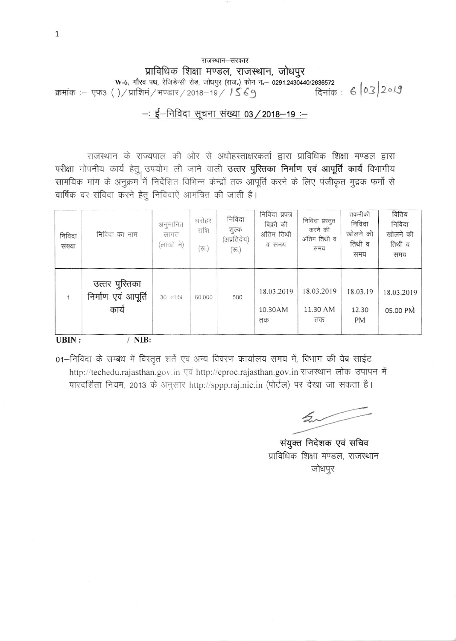#### राजस्थान-सरकार प्राविधिक शिक्षा मण्डल, राजस्थान, जोधपुर<br>W-6, गौरव पथ, रेजिडेन्सी रोड, जोधपुर (राज.) फोन न - 0291.2430440/2636572 2636572<br>दिनांक : 6 | 03 | 2०१9 क्रमांक :– एफ3 ()/प्राशिमं/भण्डार/2018-19/ /ऽ ६१

#### --: ई-निविदा सूचना संख्या 03 / 2018-19 :-

राजस्थान के राज्यपाल की ओर से अधोहस्ताक्षरकर्ता द्वारा प्राविधिक शिक्षा मण्डल द्वारा परीक्षा गोपनीय कार्य हेतु उपयोग ली जाने वाली उत्तर पुस्तिका निर्माण एवं आपूर्ति कार्य विभागीय सामयिक मांग के अनूक्रम में निर्देशित विभिन्न केन्द्रों तक आपूर्ति करने के लिए पंजीकृत मुद्रक फर्मों से वार्षिक दर संविदा करने हेतू निविदाएें आमंत्रित की जाती है।

| निविदा<br>संख्या | निविदा का नाम                                  | अनुमानित<br>लागत<br>(लाखों मे) | धरोहर<br>राशि<br>$(\overline{\tau_{\mathcal{D}}})$ | निविदा<br>शुल्क<br>(अप्रतिदेय)<br>$(\overline{\tau_{0}})$ | निविदा प्रपत्र<br>बिक्री की<br>अंतिम तिथी<br>व समय | निविदा प्रस्तुत<br>करने की<br>अंतिम तिथी व<br>समय | तकनीकी<br>निविदा<br>खोलने की<br>तिथी व<br>समय | वितिय<br>निविदा<br>खोलने की<br>तिथी व<br>समय |
|------------------|------------------------------------------------|--------------------------------|----------------------------------------------------|-----------------------------------------------------------|----------------------------------------------------|---------------------------------------------------|-----------------------------------------------|----------------------------------------------|
|                  | उत्तर पुस्तिका<br>निर्माण एवं आपूर्ति<br>कार्य | 30 लाख                         | 60.000                                             | 500                                                       | 18.03.2019<br>10.30AM<br>तक                        | 18.03.2019<br>11.30 AM<br>तक                      | 18.03.19<br>12.30<br><b>PM</b>                | 18.03.2019<br>05.00 PM                       |
| UBIN:            | NIB:                                           |                                |                                                    |                                                           |                                                    |                                                   |                                               |                                              |

01-निविदा के सम्बंध में विस्तृत शर्ते एवं अन्य विवरण कार्यालय समय में, विभाग की वेब साईट http://techedu.rajasthan.gov.in एवं http://eproc.rajasthan.gov.in राजस्थान लोक उपापन में पारदर्शिता नियम, 2013 के अनुसार http://sppp.raj.nic.in (पोर्टल) पर देखा जा सकता है।

 $\sim$ 

संयुक्त निदेशक एवं सचिव प्राविधिक शिक्षा मण्डल, राजस्थान जोधपुर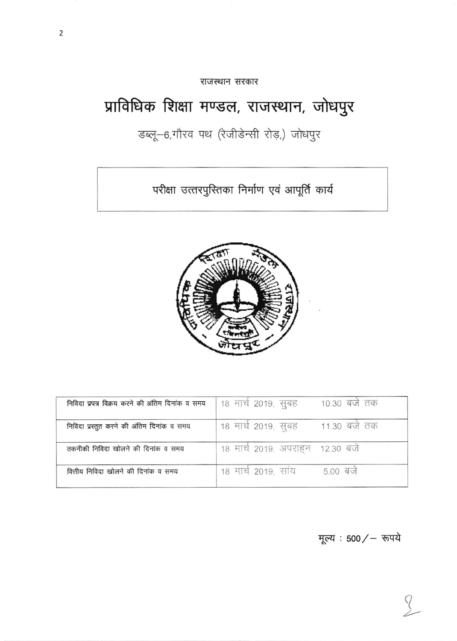राजस्थान सरकार

# प्राविधिक शिक्षा मण्डल, राजस्थान, जोधपुर

डब्लू-6,गौरव पथ (रेजीडेन्सी रोड़,) जोधपुर

परीक्षा उत्तरपुरितका निर्माण एवं आपूर्ति कार्य



| निविदा प्रपत्र विक्रय करने की अंतिम दिनांक व समय | 18 मार्च 2019, सूबह<br>10.30 बजे तक  |
|--------------------------------------------------|--------------------------------------|
| निविदा प्रस्तुत करने की अंतिम दिनांक व समय       | 11.30 बर्ज तक<br>18 मार्च 2019, सूबह |
| तकनीकी निविदा खोलने की दिनांक व समय              | 18 मार्च 2019, अपराहन 12.30 बजे      |
| वित्तीय निविदा खोलने की दिनांक व समय             | $5.00$ बर्ज<br>18 मार्च 2019, साय    |

मूल्य : 500/ – रूपये

 $\left\langle \right\rangle$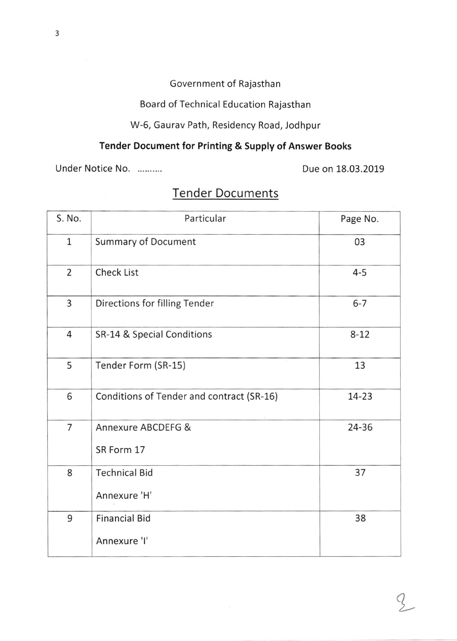## Government of Rajasthan

Board of Technical Education Rajasthan

W-6, Gaurav Path, Residency Road, Jodhpur

## Tender Document for Printing & Supply of Answer Books

Under Notice No. ..........

Due on 18.03.2019

Z.

| S. No.         | Particular                                | Page No. |
|----------------|-------------------------------------------|----------|
| $\mathbf{1}$   | <b>Summary of Document</b>                | 03       |
| $\overline{2}$ | <b>Check List</b>                         | $4 - 5$  |
| 3              | Directions for filling Tender             | $6 - 7$  |
| 4              | SR-14 & Special Conditions                | $8 - 12$ |
| 5              | Tender Form (SR-15)                       | 13       |
| 6              | Conditions of Tender and contract (SR-16) | 14-23    |
| 7              | Annexure ABCDEFG &<br>SR Form 17          | 24-36    |
| 8              | <b>Technical Bid</b><br>Annexure 'H'      | 37       |
| 9              | <b>Financial Bid</b><br>Annexure 'I'      | 38       |

# **Tender Documents**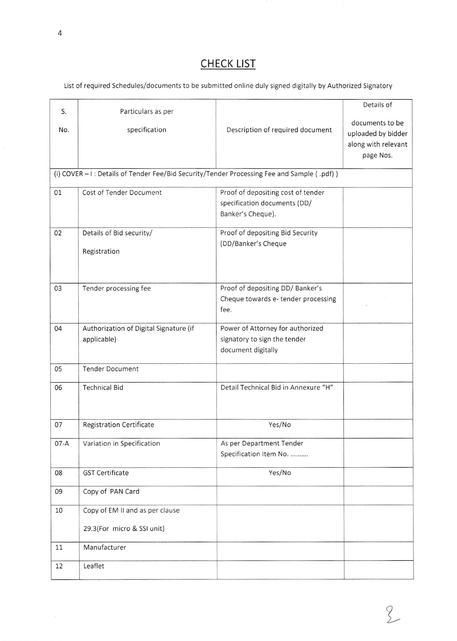## CHECK LIST

List of required Schedules/documents to be submitted online duly signed digitally by Authorized Signatory

|        |                                                                                             |                                      | Details of          |  |  |  |
|--------|---------------------------------------------------------------------------------------------|--------------------------------------|---------------------|--|--|--|
| S.     | Particulars as per                                                                          |                                      |                     |  |  |  |
| No.    | specification                                                                               | Description of required document     | documents to be     |  |  |  |
|        |                                                                                             |                                      | uploaded by bidder  |  |  |  |
|        |                                                                                             |                                      | along with relevant |  |  |  |
|        |                                                                                             |                                      | page Nos.           |  |  |  |
|        | (i) COVER - I : Details of Tender Fee/Bid Security/Tender Processing Fee and Sample (.pdf)) |                                      |                     |  |  |  |
| 01     | Cost of Tender Document                                                                     | Proof of depositing cost of tender   |                     |  |  |  |
|        |                                                                                             | specification documents (DD/         |                     |  |  |  |
|        |                                                                                             | Banker's Cheque).                    |                     |  |  |  |
| 02     | Details of Bid security/                                                                    | Proof of depositing Bid Security     |                     |  |  |  |
|        |                                                                                             | (DD/Banker's Cheque                  |                     |  |  |  |
|        | Registration                                                                                |                                      |                     |  |  |  |
|        |                                                                                             |                                      |                     |  |  |  |
| 03     | Tender processing fee                                                                       | Proof of depositing DD/Banker's      |                     |  |  |  |
|        |                                                                                             | Cheque towards e-tender processing   |                     |  |  |  |
|        |                                                                                             | fee.                                 |                     |  |  |  |
| 04     | Authorization of Digital Signature (if                                                      | Power of Attorney for authorized     |                     |  |  |  |
|        | applicable)                                                                                 | signatory to sign the tender         |                     |  |  |  |
|        |                                                                                             | document digitally                   |                     |  |  |  |
|        |                                                                                             |                                      |                     |  |  |  |
| 05     | <b>Tender Document</b>                                                                      |                                      |                     |  |  |  |
| 06     | <b>Technical Bid</b>                                                                        | Detail Technical Bid in Annexure "H" |                     |  |  |  |
|        |                                                                                             |                                      |                     |  |  |  |
|        |                                                                                             |                                      |                     |  |  |  |
| 07     | <b>Registration Certificate</b>                                                             | Yes/No                               |                     |  |  |  |
| $07-A$ | Variation in Specification                                                                  | As per Department Tender             |                     |  |  |  |
|        |                                                                                             | Specification Item No.               |                     |  |  |  |
| 08     | <b>GST Certificate</b>                                                                      | Yes/No                               |                     |  |  |  |
| 09     | Copy of PAN Card                                                                            |                                      |                     |  |  |  |
|        |                                                                                             |                                      |                     |  |  |  |
| 10     | Copy of EM II and as per clause                                                             |                                      |                     |  |  |  |
|        | 29.3(For micro & SSI unit)                                                                  |                                      |                     |  |  |  |
| 11     | Manufacturer                                                                                |                                      |                     |  |  |  |
| 12     | Leaflet                                                                                     |                                      |                     |  |  |  |
|        |                                                                                             |                                      |                     |  |  |  |